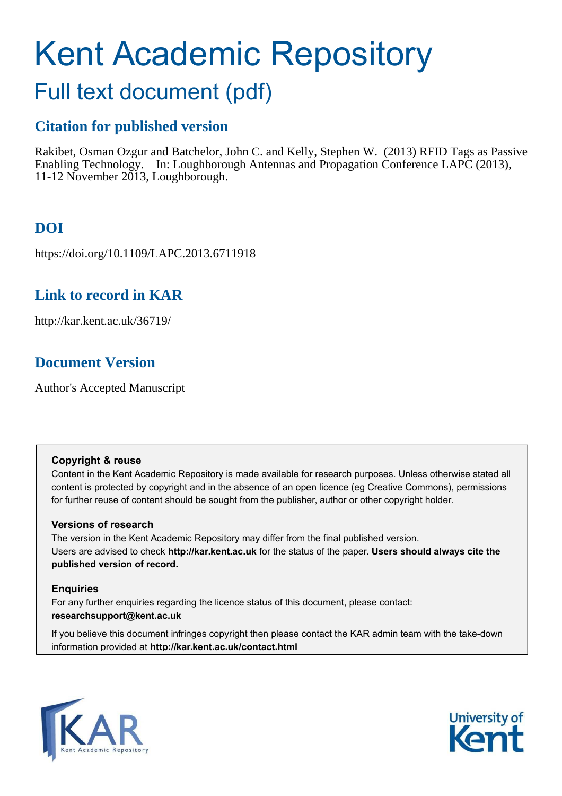# Kent Academic Repository

# Full text document (pdf)

### **Citation for published version**

Rakibet, Osman Ozgur and Batchelor, John C. and Kelly, Stephen W. (2013) RFID Tags as Passive Enabling Technology. In: Loughborough Antennas and Propagation Conference LAPC (2013), 11-12 November 2013, Loughborough.

# **DOI**

https://doi.org/10.1109/LAPC.2013.6711918

### **Link to record in KAR**

http://kar.kent.ac.uk/36719/

## **Document Version**

Author's Accepted Manuscript

### **Copyright & reuse**

Content in the Kent Academic Repository is made available for research purposes. Unless otherwise stated all content is protected by copyright and in the absence of an open licence (eg Creative Commons), permissions for further reuse of content should be sought from the publisher, author or other copyright holder.

### **Versions of research**

The version in the Kent Academic Repository may differ from the final published version. Users are advised to check **http://kar.kent.ac.uk** for the status of the paper. **Users should always cite the published version of record.**

### **Enquiries**

For any further enquiries regarding the licence status of this document, please contact: **researchsupport@kent.ac.uk**

If you believe this document infringes copyright then please contact the KAR admin team with the take-down information provided at **http://kar.kent.ac.uk/contact.html**



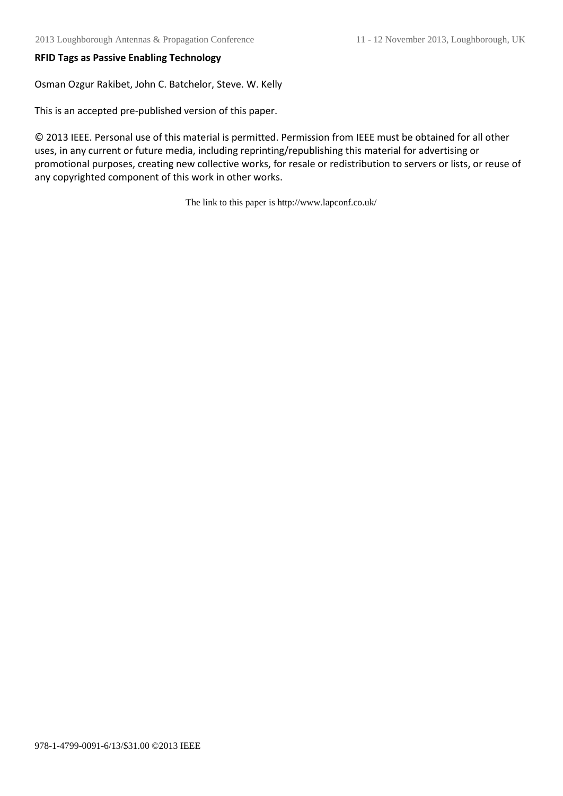### **RFID Tags as Passive Enabling Technology**

Osman Ozgur Rakibet, John C. Batchelor, Steve. W. Kelly

This is an accepted pre-published version of this paper.

© 2013 IEEE. Personal use of this material is permitted. Permission from IEEE must be obtained for all other uses, in any current or future media, including reprinting/republishing this material for advertising or promotional purposes, creating new collective works, for resale or redistribution to servers or lists, or reuse of any copyrighted component of this work in other works.

The link to this paper is http://www.lapconf.co.uk/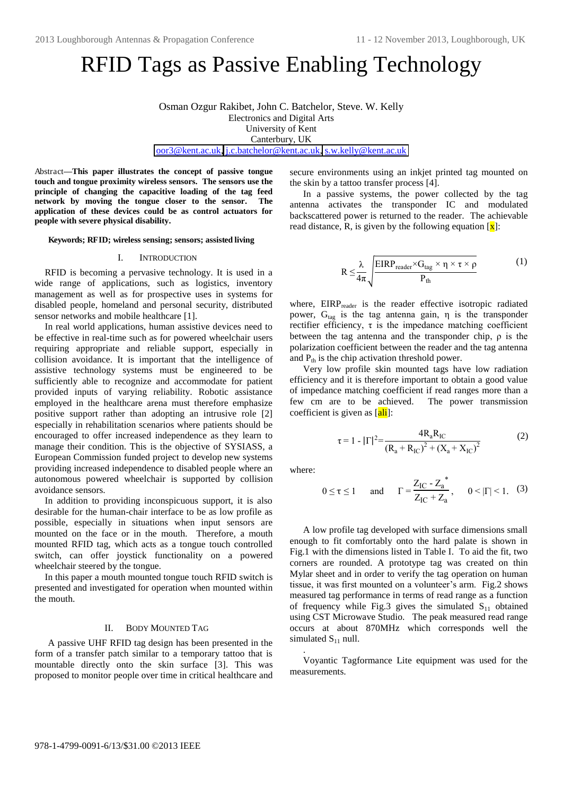# RFID Tags as Passive Enabling Technology

Osman Ozgur Rakibet, John C. Batchelor, Steve. W. Kelly Electronics and Digital Arts University of Kent Canterbury, UK [oor3@kent.ac.uk,](mailto:oor3@kent.ac.uk) [j.c.batchelor@kent.ac.uk,](mailto:j.c.batchelor@kent.ac.uk) [s.w.kelly@kent.ac.uk](mailto:s.w.kelly@kent.ac.uk) 

Abstract**—This paper illustrates the concept of passive tongue touch and tongue proximity wireless sensors. The sensors use the principle of changing the capacitive loading of the tag feed network by moving the tongue closer to the sensor. The application of these devices could be as control actuators for people with severe physical disability.** 

#### **Keywords; RFID; wireless sensing; sensors; assisted living**

#### I. INTRODUCTION

RFID is becoming a pervasive technology. It is used in a wide range of applications, such as logistics, inventory management as well as for prospective uses in systems for disabled people, homeland and personal security, distributed sensor networks and mobile healthcare [1].

In real world applications, human assistive devices need to be effective in real-time such as for powered wheelchair users requiring appropriate and reliable support, especially in collision avoidance. It is important that the intelligence of assistive technology systems must be engineered to be sufficiently able to recognize and accommodate for patient provided inputs of varying reliability. Robotic assistance employed in the healthcare arena must therefore emphasize positive support rather than adopting an intrusive role [2] especially in rehabilitation scenarios where patients should be encouraged to offer increased independence as they learn to manage their condition. This is the objective of SYSIASS, a European Commission funded project to develop new systems providing increased independence to disabled people where an autonomous powered wheelchair is supported by collision avoidance sensors.

In addition to providing inconspicuous support, it is also desirable for the human-chair interface to be as low profile as possible, especially in situations when input sensors are mounted on the face or in the mouth. Therefore, a mouth mounted RFID tag, which acts as a tongue touch controlled switch, can offer joystick functionality on a powered wheelchair steered by the tongue.

In this paper a mouth mounted tongue touch RFID switch is presented and investigated for operation when mounted within the mouth.

### II. BODY MOUNTED TAG

A passive UHF RFID tag design has been presented in the form of a transfer patch similar to a temporary tattoo that is mountable directly onto the skin surface [3]. This was proposed to monitor people over time in critical healthcare and secure environments using an inkiet printed tag mounted on the skin by a tattoo transfer process [4].

In a passive systems, the power collected by the tag antenna activates the transponder IC and modulated backscattered power is returned to the reader. The achievable read distance, R, is given by the following equation  $\left[\frac{\mathbf{x}}{\mathbf{x}}\right]$ :

$$
R \leq \frac{\lambda}{4\pi} \sqrt{\frac{EIRP_{reader} \times G_{tag} \times \eta \times \tau \times \rho}{P_{th}}}
$$
 (1)

where, EIRP<sub>reader</sub> is the reader effective isotropic radiated power,  $G_{\text{tag}}$  is the tag antenna gain,  $\eta$  is the transponder rectifier efficiency,  $\tau$  is the impedance matching coefficient between the tag antenna and the transponder chip,  $\rho$  is the polarization coefficient between the reader and the tag antenna and  $P_{th}$  is the chip activation threshold power.

Very low profile skin mounted tags have low radiation efficiency and it is therefore important to obtain a good value of impedance matching coefficient if read ranges more than a few cm are to be achieved. The power transmission coefficient is given as  $\left[$ ali<sup> $\right]$ </sup>:

$$
\tau = 1 - |\Gamma|^2 = \frac{4R_aR_{IC}}{(R_a + R_{IC})^2 + (X_a + X_{IC})^2}
$$
 (2)

where:

.

$$
0 \le \tau \le 1
$$
 and  $\Gamma = \frac{Z_{IC} - Z_a^*}{Z_{IC} + Z_a}$ ,  $0 < |\Gamma| < 1$ . (3)

A low profile tag developed with surface dimensions small enough to fit comfortably onto the hard palate is shown in Fig.1 with the dimensions listed in Table I. To aid the fit, two corners are rounded. A prototype tag was created on thin Mylar sheet and in order to verify the tag operation on human tissue, it was first mounted on a volunteer's arm. Fig.2 shows measured tag performance in terms of read range as a function of frequency while Fig.3 gives the simulated  $S_{11}$  obtained using CST Microwave Studio. The peak measured read range occurs at about 870MHz which corresponds well the simulated  $S_{11}$  null.

Voyantic Tagformance Lite equipment was used for the measurements.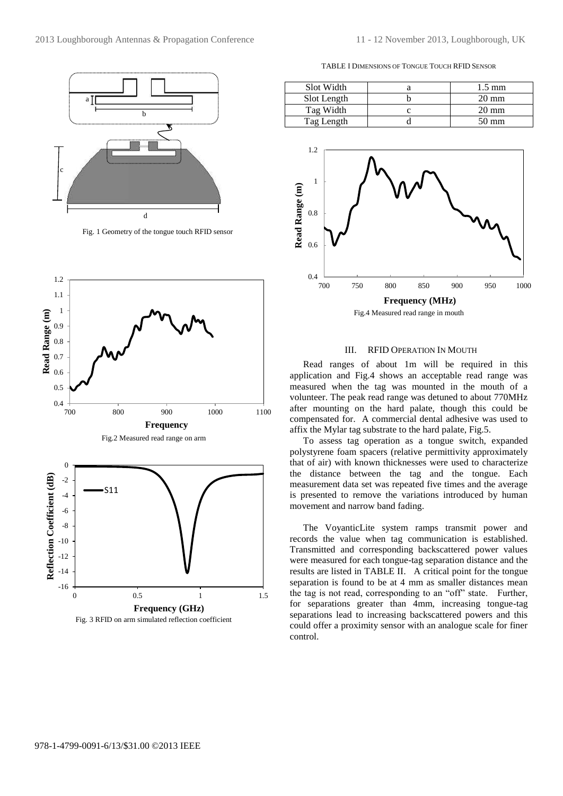

Fig. 1 Geometry of the tongue touch RFID sensor



Fig.2 Measured read range on arm



TABLE I DIMENSIONS OF TONGUE TOUCH RFID SENSOR

| Slot Width  | $1.5 \text{ mm}$ |
|-------------|------------------|
| Slot Length | $20 \text{ mm}$  |
| Tag Width   | $20 \text{ mm}$  |
| Tag Length  | $50 \text{ mm}$  |



#### III. RFID OPERATION IN MOUTH

Read ranges of about 1m will be required in this application and Fig.4 shows an acceptable read range was measured when the tag was mounted in the mouth of a volunteer. The peak read range was detuned to about 770MHz after mounting on the hard palate, though this could be compensated for. A commercial dental adhesive was used to affix the Mylar tag substrate to the hard palate, Fig.5.

To assess tag operation as a tongue switch, expanded polystyrene foam spacers (relative permittivity approximately that of air) with known thicknesses were used to characterize the distance between the tag and the tongue. Each measurement data set was repeated five times and the average is presented to remove the variations introduced by human movement and narrow band fading.

The VoyanticLite system ramps transmit power and records the value when tag communication is established. Transmitted and corresponding backscattered power values were measured for each tongue-tag separation distance and the results are listed in TABLE II. A critical point for the tongue separation is found to be at 4 mm as smaller distances mean the tag is not read, corresponding to an "off" state. Further, for separations greater than 4mm, increasing tongue-tag separations lead to increasing backscattered powers and this could offer a proximity sensor with an analogue scale for finer control.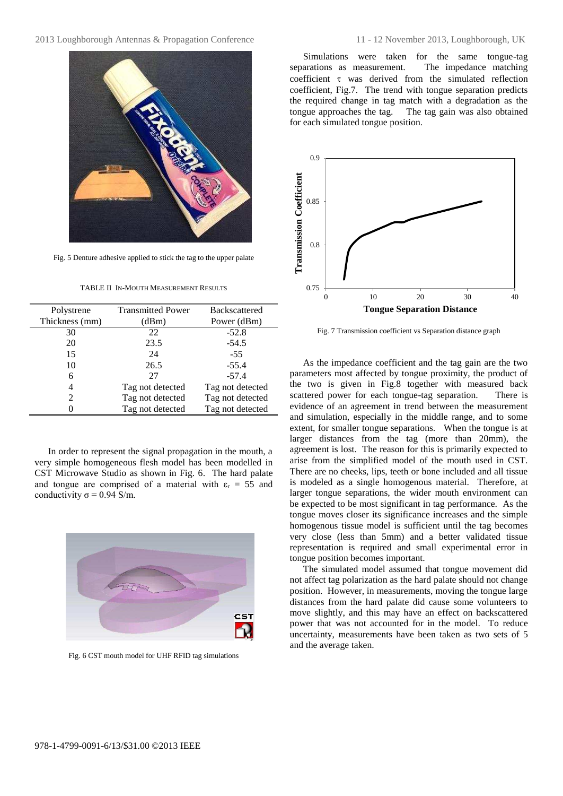

Fig. 5 Denture adhesive applied to stick the tag to the upper palate

TABLE II IN-MOUTH MEASUREMENT RESULTS

| Polystrene                  | <b>Transmitted Power</b> | <b>Backscattered</b> |
|-----------------------------|--------------------------|----------------------|
| Thickness (mm)              | (dBm)                    | Power (dBm)          |
| 30                          | 22                       | $-52.8$              |
| 20                          | 23.5                     | $-54.5$              |
| 15                          | 24                       | $-55$                |
| 10                          | 26.5                     | $-55.4$              |
| 6                           | 27                       | $-57.4$              |
| 4                           | Tag not detected         | Tag not detected     |
| $\mathcal{D}_{\mathcal{L}}$ | Tag not detected         | Tag not detected     |
|                             | Tag not detected         | Tag not detected     |

In order to represent the signal propagation in the mouth, a very simple homogeneous flesh model has been modelled in CST Microwave Studio as shown in Fig. 6. The hard palate and tongue are comprised of a material with  $\varepsilon_r = 55$  and conductivity  $\sigma$  = 0.94 S/m.



Fig. 6 CST mouth model for UHF RFID tag simulations

Simulations were taken for the same tongue-tag<br>arations as measurement. The impedance matching separations as measurement. coefficient  $\tau$  was derived from the simulated reflection coefficient, Fig.7. The trend with tongue separation predicts the required change in tag match with a degradation as the tongue approaches the tag. The tag gain was also obtained for each simulated tongue position.



Fig. 7 Transmission coefficient vs Separation distance graph

As the impedance coefficient and the tag gain are the two parameters most affected by tongue proximity, the product of the two is given in Fig.8 together with measured back scattered power for each tongue-tag separation. There is evidence of an agreement in trend between the measurement and simulation, especially in the middle range, and to some extent, for smaller tongue separations. When the tongue is at larger distances from the tag (more than 20mm), the agreement is lost. The reason for this is primarily expected to arise from the simplified model of the mouth used in CST. There are no cheeks, lips, teeth or bone included and all tissue is modeled as a single homogenous material. Therefore, at larger tongue separations, the wider mouth environment can be expected to be most significant in tag performance. As the tongue moves closer its significance increases and the simple homogenous tissue model is sufficient until the tag becomes very close (less than 5mm) and a better validated tissue representation is required and small experimental error in tongue position becomes important.

The simulated model assumed that tongue movement did not affect tag polarization as the hard palate should not change position. However, in measurements, moving the tongue large distances from the hard palate did cause some volunteers to move slightly, and this may have an effect on backscattered power that was not accounted for in the model. To reduce uncertainty, measurements have been taken as two sets of 5 and the average taken.